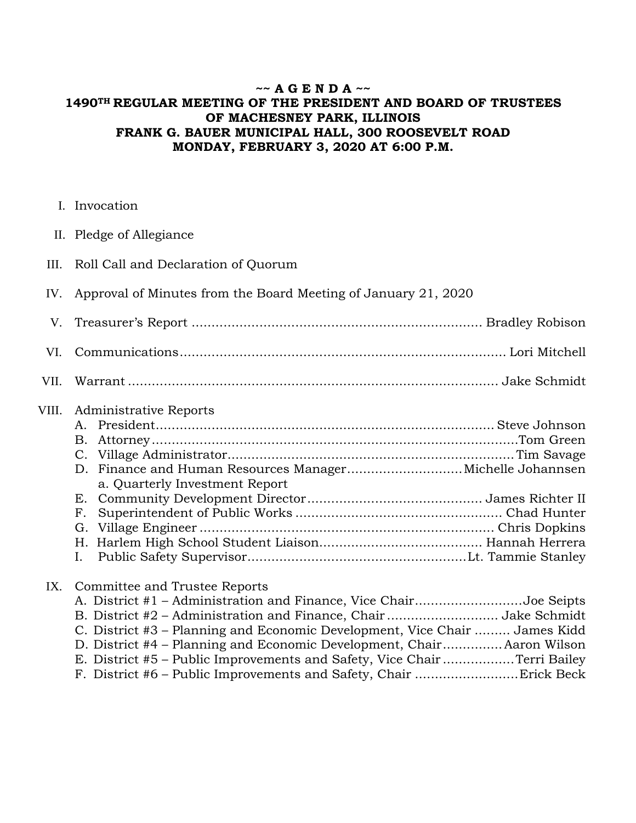## **~~ A G E N D A ~~ 1490TH REGULAR MEETING OF THE PRESIDENT AND BOARD OF TRUSTEES OF MACHESNEY PARK, ILLINOIS FRANK G. BAUER MUNICIPAL HALL, 300 ROOSEVELT ROAD MONDAY, FEBRUARY 3, 2020 AT 6:00 P.M.**

- I. Invocation
- II. Pledge of Allegiance
- III. Roll Call and Declaration of Quorum
- IV. Approval of Minutes from the Board Meeting of January 21, 2020
- V. Treasurer's Report ......................................................................... Bradley Robison VI. Communications .................................................................................. Lori Mitchell
- VII. Warrant ............................................................................................. Jake Schmidt
- VIII. Administrative Reports

| a. Quarterly Investment Report |  |
|--------------------------------|--|
|                                |  |
|                                |  |
|                                |  |
|                                |  |
|                                |  |

## IX. Committee and Trustee Reports

| A. District #1 – Administration and Finance, Vice ChairJoe Seipts          |  |
|----------------------------------------------------------------------------|--|
| B. District #2 - Administration and Finance, ChairJake Schmidt             |  |
| C. District #3 – Planning and Economic Development, Vice Chair  James Kidd |  |
| D. District #4 – Planning and Economic Development, Chair Aaron Wilson     |  |
| E. District #5 – Public Improvements and Safety, Vice Chair Terri Bailey   |  |
|                                                                            |  |